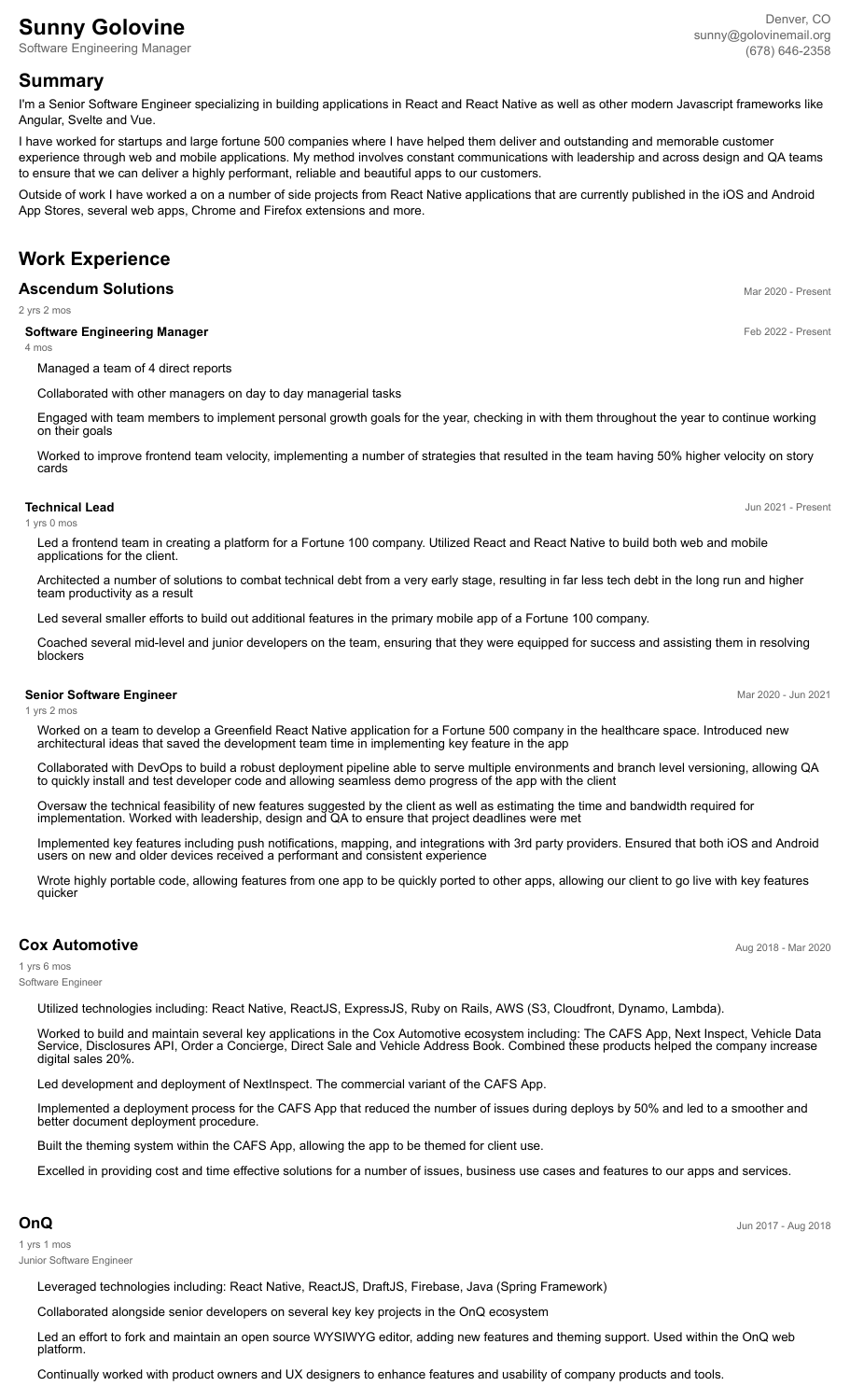# **Sunny Golovine**

Software Engineering Manager

# **Summary**

I'm a Senior Software Engineer specializing in building applications in React and React Native as well as other modern Javascript frameworks like Angular, Svelte and Vue.

I have worked for startups and large fortune 500 companies where I have helped them deliver and outstanding and memorable customer experience through web and mobile applications. My method involves constant communications with leadership and across design and QA teams to ensure that we can deliver a highly performant, reliable and beautiful apps to our customers.

Outside of work I have worked a on a number of side projects from React Native applications that are currently published in the iOS and Android App Stores, several web apps, Chrome and Firefox extensions and more.

# **Work Experience**

# **Ascendum Solutions** Material Section 2020 - Present

2 yrs 2 mos

## **Software Engineering Manager Feb 2022 - Present**

4 mos

Managed a team of 4 direct reports

Collaborated with other managers on day to day managerial tasks

Engaged with team members to implement personal growth goals for the year, checking in with them throughout the year to continue working on their goals

Worked to improve frontend team velocity, implementing a number of strategies that resulted in the team having 50% higher velocity on story cards

#### **Technical Lead** Jun 2021 - Present

1 yrs 0 mos

1 yrs 2 mos

Led a frontend team in creating a platform for a Fortune 100 company. Utilized React and React Native to build both web and mobile applications for the client.

Architected a number of solutions to combat technical debt from a very early stage, resulting in far less tech debt in the long run and higher team productivity as a result

Led several smaller efforts to build out additional features in the primary mobile app of a Fortune 100 company.

Coached several mid-level and junior developers on the team, ensuring that they were equipped for success and assisting them in resolving blockers

#### **Senior Software Engineer** Mar 2020 - Jun 2021 **Mar 2020 - Jun 2021**

Worked on a team to develop a Greenfield React Native application for a Fortune 500 company in the healthcare space. Introduced new architectural ideas that saved the development team time in implementing key feature in the app

Collaborated with DevOps to build a robust deployment pipeline able to serve multiple environments and branch level versioning, allowing QA to quickly install and test developer code and allowing seamless demo progress of the app with the client

Oversaw the technical feasibility of new features suggested by the client as well as estimating the time and bandwidth required for implementation. Worked with leadership, design and QA to ensure that project deadlines were met

Implemented key features including push notifications, mapping, and integrations with 3rd party providers. Ensured that both iOS and Android users on new and older devices received a performant and consistent experience

Wrote highly portable code, allowing features from one app to be quickly ported to other apps, allowing our client to go live with key features quicker

# **Cox Automotive** Aug 2018 - Mar 2020

1 yrs 6 mos Software Engineer

Utilized technologies including: React Native, ReactJS, ExpressJS, Ruby on Rails, AWS (S3, Cloudfront, Dynamo, Lambda).

Worked to build and maintain several key applications in the Cox Automotive ecosystem including: The CAFS App, Next Inspect, Vehicle Data Service, Disclosures API, Order a Concierge, Direct Sale and Vehicle Address Book. Combined these products helped the company increase digital sales 20%.

Led development and deployment of NextInspect. The commercial variant of the CAFS App.

Implemented a deployment process for the CAFS App that reduced the number of issues during deploys by 50% and led to a smoother and better document deployment procedure.

Built the theming system within the CAFS App, allowing the app to be themed for client use.

Excelled in providing cost and time effective solutions for a number of issues, business use cases and features to our apps and services.

1 yrs 1 mos

Junior Software Engineer

Leveraged technologies including: React Native, ReactJS, DraftJS, Firebase, Java (Spring Framework)

Collaborated alongside senior developers on several key key projects in the OnQ ecosystem

Led an effort to fork and maintain an open source WYSIWYG editor, adding new features and theming support. Used within the OnQ web platform.

Continually worked with product owners and UX designers to enhance features and usability of company products and tools.

**OnQ** Jun 2017 - Aug 2018